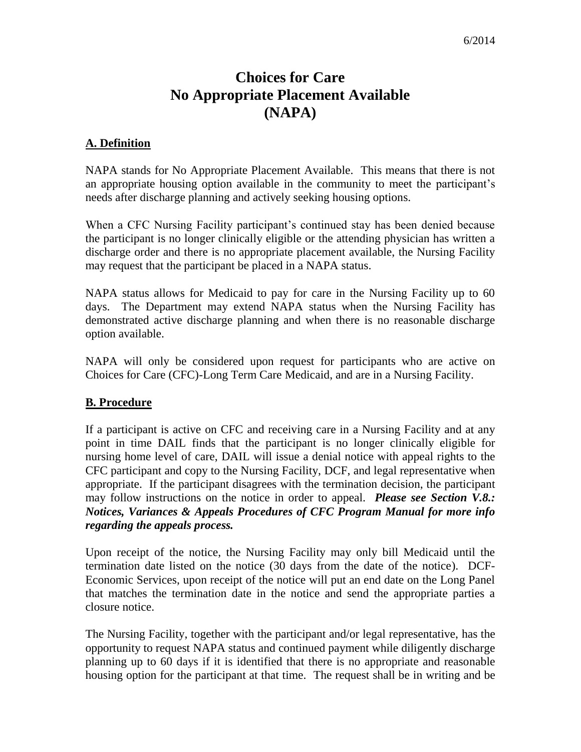## **Choices for Care No Appropriate Placement Available (NAPA)**

## **A. Definition**

NAPA stands for No Appropriate Placement Available. This means that there is not an appropriate housing option available in the community to meet the participant's needs after discharge planning and actively seeking housing options.

When a CFC Nursing Facility participant's continued stay has been denied because the participant is no longer clinically eligible or the attending physician has written a discharge order and there is no appropriate placement available, the Nursing Facility may request that the participant be placed in a NAPA status.

NAPA status allows for Medicaid to pay for care in the Nursing Facility up to 60 days. The Department may extend NAPA status when the Nursing Facility has demonstrated active discharge planning and when there is no reasonable discharge option available.

NAPA will only be considered upon request for participants who are active on Choices for Care (CFC)-Long Term Care Medicaid, and are in a Nursing Facility.

## **B. Procedure**

If a participant is active on CFC and receiving care in a Nursing Facility and at any point in time DAIL finds that the participant is no longer clinically eligible for nursing home level of care, DAIL will issue a denial notice with appeal rights to the CFC participant and copy to the Nursing Facility, DCF, and legal representative when appropriate. If the participant disagrees with the termination decision, the participant may follow instructions on the notice in order to appeal. *Please see Section V.8.: Notices, Variances & Appeals Procedures of CFC Program Manual for more info regarding the appeals process.*

Upon receipt of the notice, the Nursing Facility may only bill Medicaid until the termination date listed on the notice (30 days from the date of the notice). DCF-Economic Services, upon receipt of the notice will put an end date on the Long Panel that matches the termination date in the notice and send the appropriate parties a closure notice.

The Nursing Facility, together with the participant and/or legal representative, has the opportunity to request NAPA status and continued payment while diligently discharge planning up to 60 days if it is identified that there is no appropriate and reasonable housing option for the participant at that time. The request shall be in writing and be